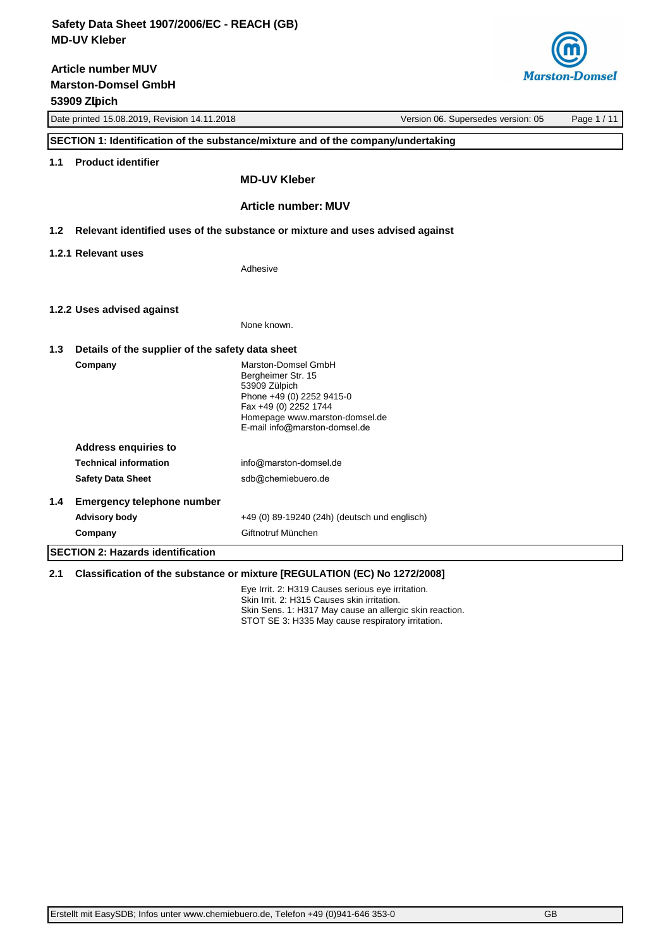**Marston-Domsel GmbH 53909 Zülpich Article number MUV**



|     | Date printed 15.08.2019, Revision 14.11.2018<br>Version 06. Supersedes version: 05 |                                                                                                                                                                                     | Page 1 / 11 |  |
|-----|------------------------------------------------------------------------------------|-------------------------------------------------------------------------------------------------------------------------------------------------------------------------------------|-------------|--|
|     | SECTION 1: Identification of the substance/mixture and of the company/undertaking  |                                                                                                                                                                                     |             |  |
| 1.1 | <b>Product identifier</b>                                                          |                                                                                                                                                                                     |             |  |
|     |                                                                                    | <b>MD-UV Kleber</b>                                                                                                                                                                 |             |  |
|     |                                                                                    | <b>Article number: MUV</b>                                                                                                                                                          |             |  |
| 1.2 | Relevant identified uses of the substance or mixture and uses advised against      |                                                                                                                                                                                     |             |  |
|     | 1.2.1 Relevant uses                                                                |                                                                                                                                                                                     |             |  |
|     |                                                                                    | Adhesive                                                                                                                                                                            |             |  |
|     | 1.2.2 Uses advised against                                                         |                                                                                                                                                                                     |             |  |
|     |                                                                                    | None known.                                                                                                                                                                         |             |  |
| 1.3 | Details of the supplier of the safety data sheet                                   |                                                                                                                                                                                     |             |  |
|     | Company                                                                            | Marston-Domsel GmbH<br>Bergheimer Str. 15<br>53909 Zülpich<br>Phone +49 (0) 2252 9415-0<br>Fax +49 (0) 2252 1744<br>Homepage www.marston-domsel.de<br>E-mail info@marston-domsel.de |             |  |
|     | <b>Address enquiries to</b>                                                        |                                                                                                                                                                                     |             |  |
|     | <b>Technical information</b>                                                       | info@marston-domsel.de                                                                                                                                                              |             |  |
|     | <b>Safety Data Sheet</b>                                                           | sdb@chemiebuero.de                                                                                                                                                                  |             |  |
| 1.4 | <b>Emergency telephone number</b>                                                  |                                                                                                                                                                                     |             |  |
|     | <b>Advisory body</b>                                                               | +49 (0) 89-19240 (24h) (deutsch und englisch)                                                                                                                                       |             |  |
|     | Company                                                                            | Giftnotruf München                                                                                                                                                                  |             |  |
|     | <b>SECTION 2: Hazards identification</b>                                           |                                                                                                                                                                                     |             |  |

## **2.1 Classification of the substance or mixture [REGULATION (EC) No 1272/2008]**

Eye Irrit. 2: H319 Causes serious eye irritation. Skin Irrit. 2: H315 Causes skin irritation. Skin Sens. 1: H317 May cause an allergic skin reaction. STOT SE 3: H335 May cause respiratory irritation.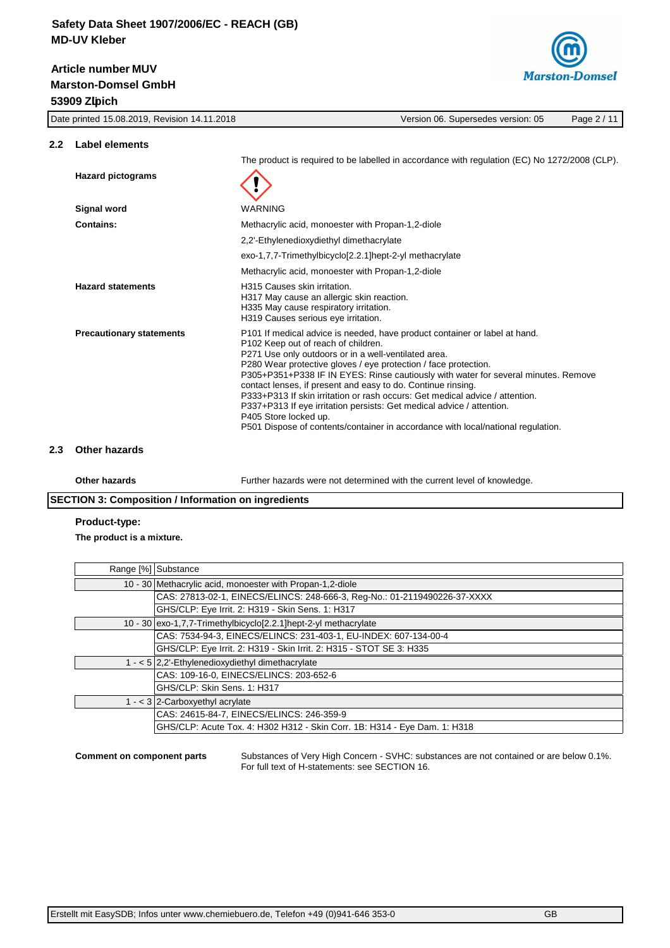# **Marston-Domsel GmbH 53909 Zülpich Article number MUV**



Date printed 15.08.2019, Revision 14.11.2018 Version 06. Supersedes version: 05 Page 2 / 11

#### **2.2 Label elements**

The product is required to be labelled in accordance with regulation (EC) No 1272/2008 (CLP). **Hazard pictograms Signal word** WARNING **Contains:** Methacrylic acid, monoester with Propan-1,2-diole 2,2'-Ethylenedioxydiethyl dimethacrylate exo-1,7,7-Trimethylbicyclo[2.2.1]hept-2-yl methacrylate Methacrylic acid, monoester with Propan-1,2-diole Hazard statements **H315** Causes skin irritation. H317 May cause an allergic skin reaction. H335 May cause respiratory irritation. H319 Causes serious eye irritation. **Precautionary statements** P101 If medical advice is needed, have product container or label at hand. P102 Keep out of reach of children. P271 Use only outdoors or in a well-ventilated area. P280 Wear protective gloves / eye protection / face protection. P305+P351+P338 IF IN EYES: Rinse cautiously with water for several minutes. Remove contact lenses, if present and easy to do. Continue rinsing. P333+P313 If skin irritation or rash occurs: Get medical advice / attention. P337+P313 If eye irritation persists: Get medical advice / attention. P405 Store locked up. P501 Dispose of contents/container in accordance with local/national regulation.

## **2.3 Other hazards**

**Other hazards** Further hazards were not determined with the current level of knowledge.

## **SECTION 3: Composition / Information on ingredients**

#### **Product-type:**

**The product is a mixture.**

| Range [%] Substance                                                       |
|---------------------------------------------------------------------------|
| 10 - 30 Methacrylic acid, monoester with Propan-1,2-diole                 |
| CAS: 27813-02-1, EINECS/ELINCS: 248-666-3, Reg-No.: 01-2119490226-37-XXXX |
| GHS/CLP: Eye Irrit. 2: H319 - Skin Sens. 1: H317                          |
| 10 - 30 exo-1,7,7-Trimethylbicyclo[2.2.1] hept-2-yl methacrylate          |
| CAS: 7534-94-3, EINECS/ELINCS: 231-403-1, EU-INDEX: 607-134-00-4          |
| GHS/CLP: Eye Irrit. 2: H319 - Skin Irrit. 2: H315 - STOT SE 3: H335       |
| $1 - 5/2$ , 2'-Ethylenedioxydiethyl dimethacrylate                        |
| CAS: 109-16-0, EINECS/ELINCS: 203-652-6                                   |
| GHS/CLP: Skin Sens. 1: H317                                               |
| 1 - < $3$ 2-Carboxyethyl acrylate                                         |
| CAS: 24615-84-7, EINECS/ELINCS: 246-359-9                                 |
| GHS/CLP: Acute Tox. 4: H302 H312 - Skin Corr. 1B: H314 - Eye Dam. 1: H318 |

**Comment on component parts** Substances of Very High Concern - SVHC: substances are not contained or are below 0.1%. For full text of H-statements: see SECTION 16.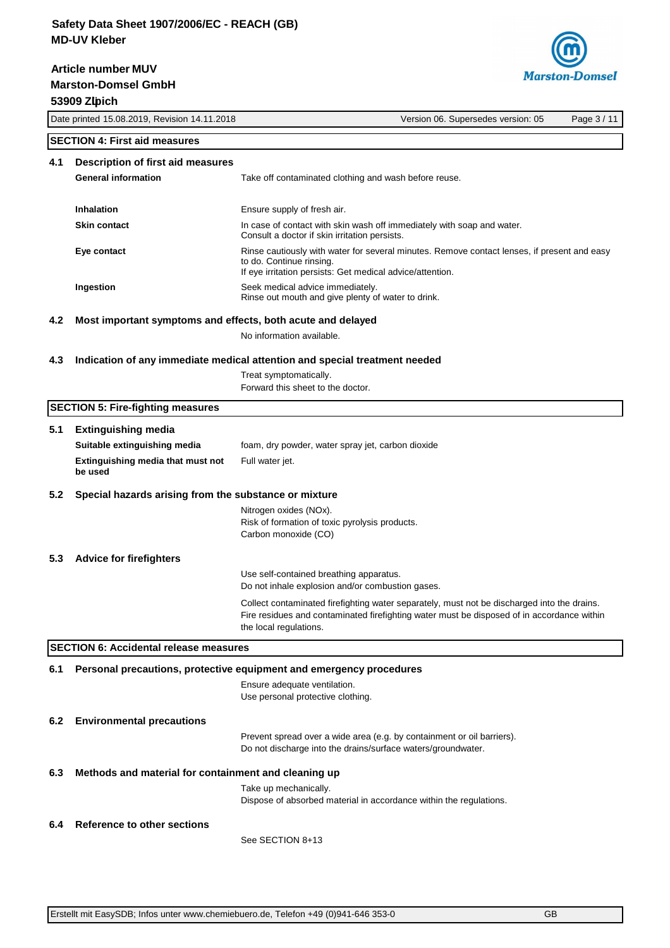**Marston-Domsel GmbH 53909 Zülpich Article number MUV**



Date printed 15.08.2019, Revision 14.11.2018 Version 06. Supersedes version: 05 Page 3 / 11

## **SECTION 4: First aid measures**

| 4.1 | Description of first aid measures |                                                                                                                                                                                      |
|-----|-----------------------------------|--------------------------------------------------------------------------------------------------------------------------------------------------------------------------------------|
|     | <b>General information</b>        | Take off contaminated clothing and wash before reuse.                                                                                                                                |
|     | Inhalation                        | Ensure supply of fresh air.                                                                                                                                                          |
|     | <b>Skin contact</b>               | In case of contact with skin wash off immediately with soap and water.<br>Consult a doctor if skin irritation persists.                                                              |
|     | Eye contact                       | Rinse cautiously with water for several minutes. Remove contact lenses, if present and easy<br>to do. Continue rinsing.<br>If eye irritation persists: Get medical advice/attention. |
|     | Ingestion                         | Seek medical advice immediately.<br>Rinse out mouth and give plenty of water to drink.                                                                                               |

## **4.2 Most important symptoms and effects, both acute and delayed**

No information available.

#### **4.3 Indication of any immediate medical attention and special treatment needed**

Treat symptomatically. Forward this sheet to the doctor.

### **SECTION 5: Fire-fighting measures**

# **5.1 Extinguishing media Suitable extinguishing media** foam, dry powder, water spray jet, carbon dioxide **Extinguishing media that must not be used** Full water jet. **5.2 Special hazards arising from the substance or mixture** Nitrogen oxides (NOx). Risk of formation of toxic pyrolysis products. Carbon monoxide (CO) **5.3 Advice for firefighters** Use self-contained breathing apparatus. Do not inhale explosion and/or combustion gases. Collect contaminated firefighting water separately, must not be discharged into the drains. Fire residues and contaminated firefighting water must be disposed of in accordance within the local regulations. **SECTION 6: Accidental release measures 6.1 Personal precautions, protective equipment and emergency procedures** Ensure adequate ventilation. Use personal protective clothing. **6.2 Environmental precautions** Prevent spread over a wide area (e.g. by containment or oil barriers). Do not discharge into the drains/surface waters/groundwater.

# **6.3 Methods and material for containment and cleaning up**

Take up mechanically. Dispose of absorbed material in accordance within the regulations.

## **6.4 Reference to other sections**

See SECTION 8+13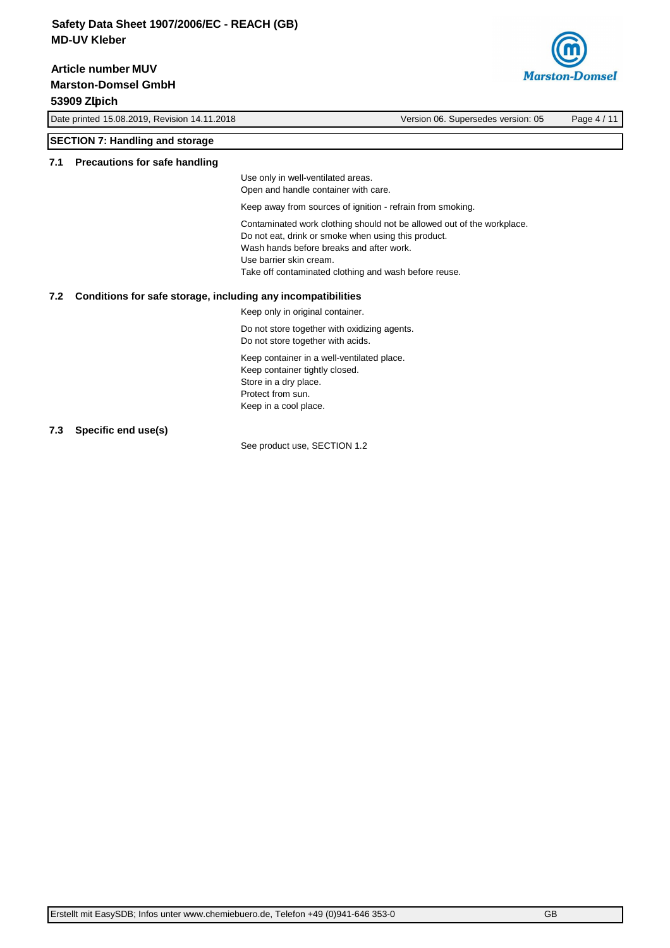**Marston-Domsel GmbH 53909 Zülpich Article number MUV**



Date printed 15.08.2019, Revision 14.11.2018 Version 06. Supersedes version: 05 Page 4 / 11

## **SECTION 7: Handling and storage**

#### **7.1 Precautions for safe handling**

Use only in well-ventilated areas.

Open and handle container with care.

Keep away from sources of ignition - refrain from smoking.

Contaminated work clothing should not be allowed out of the workplace.

Do not eat, drink or smoke when using this product.

Wash hands before breaks and after work. Use barrier skin cream.

Take off contaminated clothing and wash before reuse.

## **7.2 Conditions for safe storage, including any incompatibilities**

Keep only in original container.

Do not store together with oxidizing agents. Do not store together with acids.

Keep container in a well-ventilated place. Keep container tightly closed. Store in a dry place. Protect from sun. Keep in a cool place.

## **7.3 Specific end use(s)**

See product use, SECTION 1.2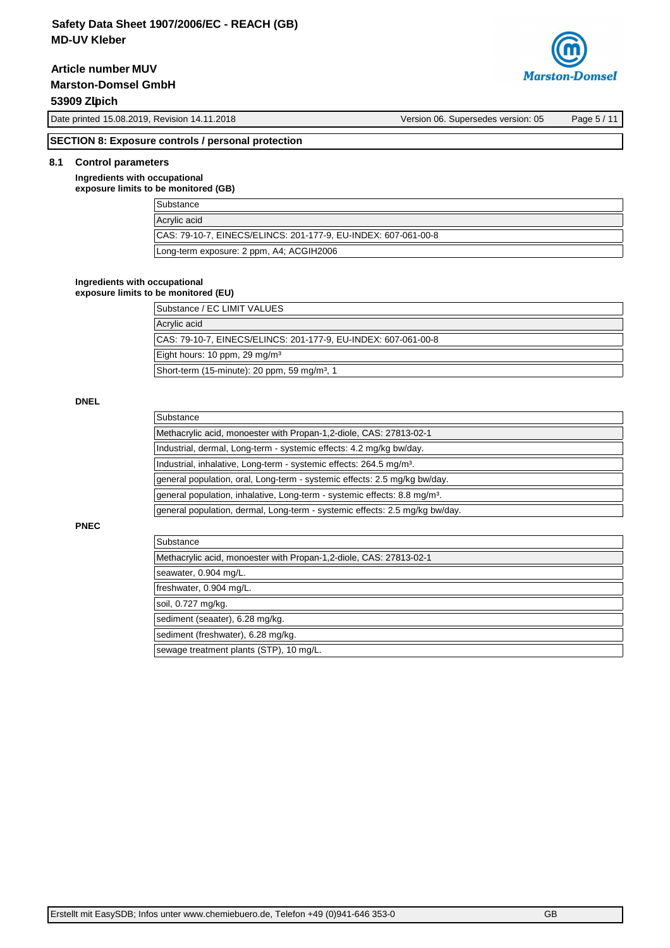**Article number MUV**

**Marston-Domsel GmbH**

## **53909 Zülpich**



Date printed 15.08.2019, Revision 14.11.2018 Version 06. Supersedes version: 05 Page 5 / 11

## **SECTION 8: Exposure controls / personal protection**

## **8.1 Control parameters**

**Ingredients with occupational exposure limits to be monitored (GB)**

| <b>Substance</b>                                               |  |
|----------------------------------------------------------------|--|
| Acrylic acid                                                   |  |
| CAS: 79-10-7, EINECS/ELINCS: 201-177-9, EU-INDEX: 607-061-00-8 |  |
| Long-term exposure: 2 ppm, A4; ACGIH2006                       |  |

#### **Ingredients with occupational**

**exposure limits to be monitored (EU)**

| Substance / EC LIMIT VALUES                                    |
|----------------------------------------------------------------|
| Acrylic acid                                                   |
| CAS: 79-10-7, EINECS/ELINCS: 201-177-9, EU-INDEX: 607-061-00-8 |
| Eight hours: 10 ppm, 29 mg/m <sup>3</sup>                      |
| Short-term (15-minute): 20 ppm, 59 mg/m <sup>3</sup> , 1       |

## **DNEL**

**PNEC**

| Substance                                                                             |
|---------------------------------------------------------------------------------------|
| Methacrylic acid, monoester with Propan-1, 2-diole, CAS: 27813-02-1                   |
| Industrial, dermal, Long-term - systemic effects: 4.2 mg/kg bw/day.                   |
| Industrial, inhalative, Long-term - systemic effects: 264.5 mg/m <sup>3</sup> .       |
| general population, oral, Long-term - systemic effects: 2.5 mg/kg bw/day.             |
| general population, inhalative, Long-term - systemic effects: 8.8 mg/m <sup>3</sup> . |
| general population, dermal, Long-term - systemic effects: 2.5 mg/kg bw/day.           |
|                                                                                       |
| Substance                                                                             |
| Methacrylic acid, monoester with Propan-1, 2-diole, CAS: 27813-02-1                   |
| seawater, 0.904 mg/L.                                                                 |
| freshwater, 0.904 mg/L.                                                               |

soil, 0.727 mg/kg.

sediment (seaater), 6.28 mg/kg.

sediment (freshwater), 6.28 mg/kg.

sewage treatment plants (STP), 10 mg/L.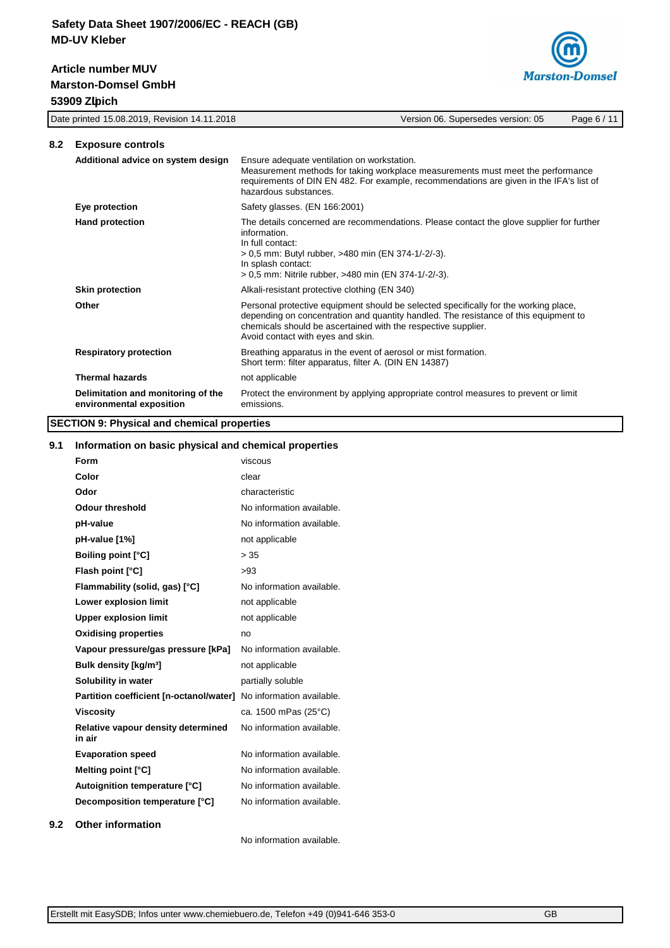# **Marston-Domsel GmbH 53909 Zülpich Article number MUV**



|     | Date printed 15.08.2019, Revision 14.11.2018                   | Version 06. Supersedes version: 05<br>Page 6 / 11                                                                                                                                                                                                                                  |
|-----|----------------------------------------------------------------|------------------------------------------------------------------------------------------------------------------------------------------------------------------------------------------------------------------------------------------------------------------------------------|
| 8.2 | <b>Exposure controls</b>                                       |                                                                                                                                                                                                                                                                                    |
|     | Additional advice on system design                             | Ensure adequate ventilation on workstation.<br>Measurement methods for taking workplace measurements must meet the performance<br>requirements of DIN EN 482. For example, recommendations are given in the IFA's list of<br>hazardous substances.                                 |
|     | Eye protection                                                 | Safety glasses. (EN 166:2001)                                                                                                                                                                                                                                                      |
|     | <b>Hand protection</b>                                         | The details concerned are recommendations. Please contact the glove supplier for further<br>information.<br>In full contact:<br>> 0,5 mm: Butyl rubber, >480 min (EN 374-1/-2/-3).<br>In splash contact:<br>> 0,5 mm: Nitrile rubber, >480 min (EN 374-1/-2/-3).                   |
|     | <b>Skin protection</b>                                         | Alkali-resistant protective clothing (EN 340)                                                                                                                                                                                                                                      |
|     | Other                                                          | Personal protective equipment should be selected specifically for the working place,<br>depending on concentration and quantity handled. The resistance of this equipment to<br>chemicals should be ascertained with the respective supplier.<br>Avoid contact with eyes and skin. |
|     | <b>Respiratory protection</b>                                  | Breathing apparatus in the event of aerosol or mist formation.<br>Short term: filter apparatus, filter A. (DIN EN 14387)                                                                                                                                                           |
|     | <b>Thermal hazards</b>                                         | not applicable                                                                                                                                                                                                                                                                     |
|     | Delimitation and monitoring of the<br>environmental exposition | Protect the environment by applying appropriate control measures to prevent or limit<br>emissions.                                                                                                                                                                                 |

# **SECTION 9: Physical and chemical properties**

## **9.1 Information on basic physical and chemical properties**

| Form                                         | viscous                   |
|----------------------------------------------|---------------------------|
| Color                                        | clear                     |
| Odor                                         | characteristic            |
| <b>Odour threshold</b>                       | No information available. |
| pH-value                                     | No information available. |
| pH-value [1%]                                | not applicable            |
| <b>Boiling point [°C]</b>                    | > 35                      |
| Flash point [°C]                             | >93                       |
| Flammability (solid, gas) [°C]               | No information available. |
| Lower explosion limit                        | not applicable            |
| <b>Upper explosion limit</b>                 | not applicable            |
| <b>Oxidising properties</b>                  | no                        |
| Vapour pressure/gas pressure [kPa]           | No information available. |
| Bulk density [kg/m <sup>3</sup> ]            | not applicable            |
| Solubility in water                          | partially soluble         |
| Partition coefficient [n-octanol/water]      | No information available. |
| <b>Viscosity</b>                             | ca. 1500 mPas (25°C)      |
| Relative vapour density determined<br>in air | No information available. |
| <b>Evaporation speed</b>                     | No information available. |
| Melting point [°C]                           | No information available. |
| Autoignition temperature [°C]                | No information available. |
| Decomposition temperature [°C]               | No information available. |
| .                                            |                           |

## **9.2 Other information**

No information available.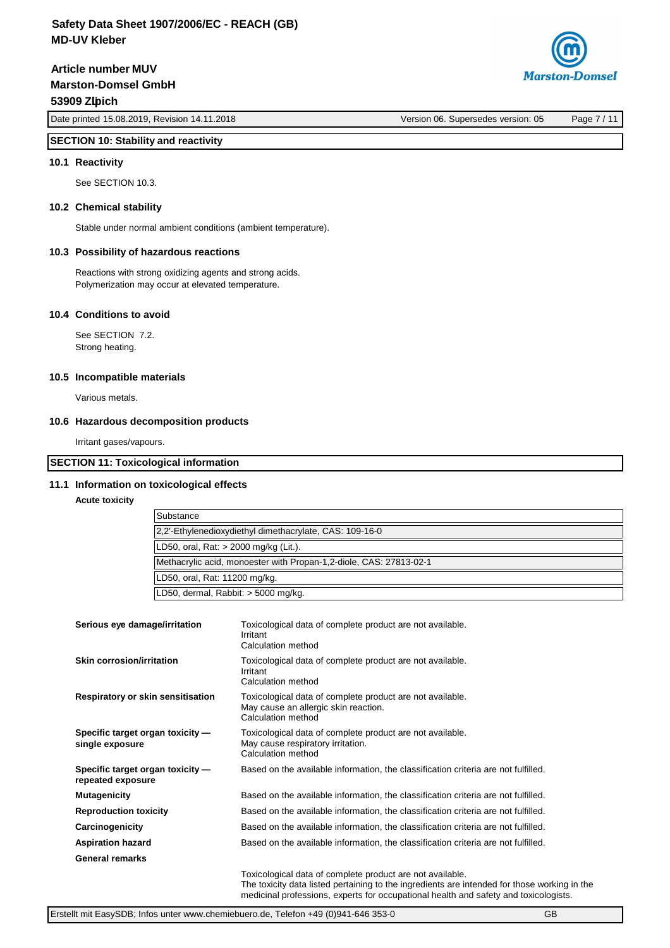**Marston-Domsel GmbH 53909 Zülpich Article number MUV**

**Marston-Domsel** 

Date printed 15.08.2019, Revision 14.11.2018 Version 06. Supersedes version: 05 Page 7 / 11

## **SECTION 10: Stability and reactivity**

#### **10.1 Reactivity**

See SECTION 10.3.

### **10.2 Chemical stability**

Stable under normal ambient conditions (ambient temperature).

#### **10.3 Possibility of hazardous reactions**

Reactions with strong oxidizing agents and strong acids. Polymerization may occur at elevated temperature.

## **10.4 Conditions to avoid**

See SECTION 7.2. Strong heating.

### **10.5 Incompatible materials**

Various metals.

#### **10.6 Hazardous decomposition products**

Irritant gases/vapours.

## **SECTION 11: Toxicological information**

#### **11.1 Information on toxicological effects**

#### **Acute toxicity**

| Substance                                                          |
|--------------------------------------------------------------------|
| 2.2'-Ethylenedioxydiethyl dimethacrylate, CAS: 109-16-0            |
| LD50, oral, Rat: > 2000 mg/kg (Lit.).                              |
| Methacrylic acid, monoester with Propan-1,2-diole, CAS: 27813-02-1 |
| LD50, oral, Rat: 11200 mg/kg.                                      |
| LD50, dermal, Rabbit: > 5000 mg/kg.                                |

| Serious eye damage/irritation                         | Toxicological data of complete product are not available.<br>Irritant<br>Calculation method                                                    |
|-------------------------------------------------------|------------------------------------------------------------------------------------------------------------------------------------------------|
| Skin corrosion/irritation                             | Toxicological data of complete product are not available.<br>Irritant<br>Calculation method                                                    |
| Respiratory or skin sensitisation                     | Toxicological data of complete product are not available.<br>May cause an allergic skin reaction.<br>Calculation method                        |
| Specific target organ toxicity -<br>single exposure   | Toxicological data of complete product are not available.<br>May cause respiratory irritation.<br>Calculation method                           |
| Specific target organ toxicity -<br>repeated exposure | Based on the available information, the classification criteria are not fulfilled.                                                             |
| <b>Mutagenicity</b>                                   | Based on the available information, the classification criteria are not fulfilled.                                                             |
| <b>Reproduction toxicity</b>                          | Based on the available information, the classification criteria are not fulfilled.                                                             |
| Carcinogenicity                                       | Based on the available information, the classification criteria are not fulfilled.                                                             |
| <b>Aspiration hazard</b>                              | Based on the available information, the classification criteria are not fulfilled.                                                             |
| <b>General remarks</b>                                |                                                                                                                                                |
|                                                       | Toxicological data of complete product are not available.<br>The texters data lieted pertaining to the ingredients are intended for these werk |

The toxicity data listed pertaining to the ingredients are intended for those working in the medicinal professions, experts for occupational health and safety and toxicologists.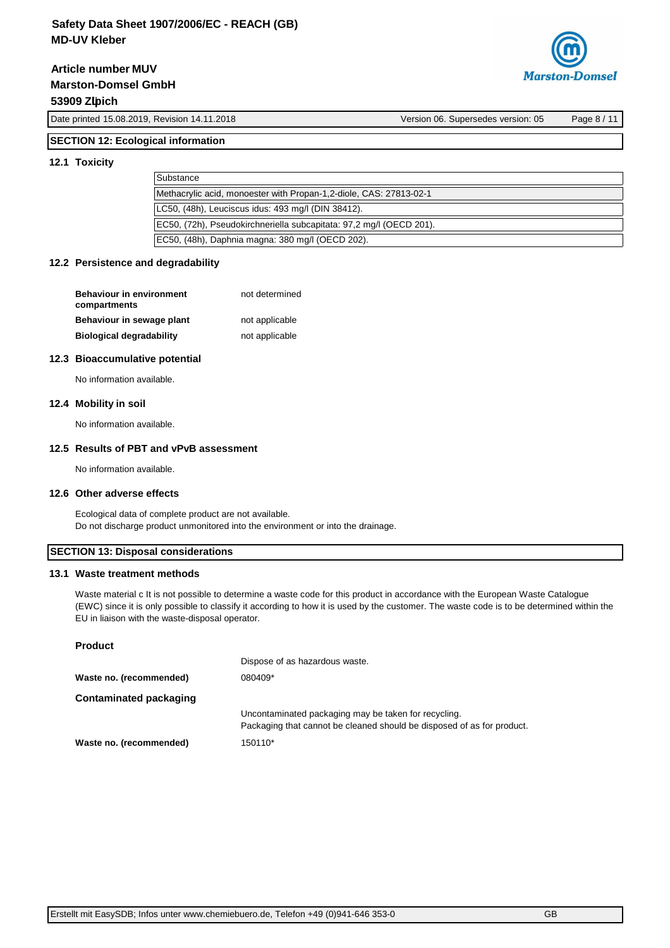**Marston-Domsel GmbH 53909 Zülpich Article number MUV**



Date printed 15.08.2019, Revision 14.11.2018 Version 06. Supersedes version: 05 Page 8 / 11

# **SECTION 12: Ecological information**

### **12.1 Toxicity**

| Substance                                                           |
|---------------------------------------------------------------------|
| Methacrylic acid, monoester with Propan-1,2-diole, CAS: 27813-02-1  |
| LC50, (48h), Leuciscus idus: 493 mg/l (DIN 38412).                  |
| EC50, (72h), Pseudokirchneriella subcapitata: 97,2 mg/l (OECD 201). |
| EC50, (48h), Daphnia magna: 380 mg/l (OECD 202).                    |

#### **12.2 Persistence and degradability**

| <b>Behaviour in environment</b><br>compartments | not determined |
|-------------------------------------------------|----------------|
| Behaviour in sewage plant                       | not applicable |
| <b>Biological degradability</b>                 | not applicable |

#### **12.3 Bioaccumulative potential**

No information available.

## **12.4 Mobility in soil**

No information available.

### **12.5 Results of PBT and vPvB assessment**

No information available.

### **12.6 Other adverse effects**

Ecological data of complete product are not available. Do not discharge product unmonitored into the environment or into the drainage.

## **SECTION 13: Disposal considerations**

#### **13.1 Waste treatment methods**

Waste material c It is not possible to determine a waste code for this product in accordance with the European Waste Catalogue (EWC) since it is only possible to classify it according to how it is used by the customer. The waste code is to be determined within the EU in liaison with the waste-disposal operator.

| Product |  |
|---------|--|
|---------|--|

|                         | Dispose of as hazardous waste.                                                                                                 |
|-------------------------|--------------------------------------------------------------------------------------------------------------------------------|
| Waste no. (recommended) | 080409*                                                                                                                        |
| Contaminated packaging  |                                                                                                                                |
|                         | Uncontaminated packaging may be taken for recycling.<br>Packaging that cannot be cleaned should be disposed of as for product. |
| Waste no. (recommended) | 150110*                                                                                                                        |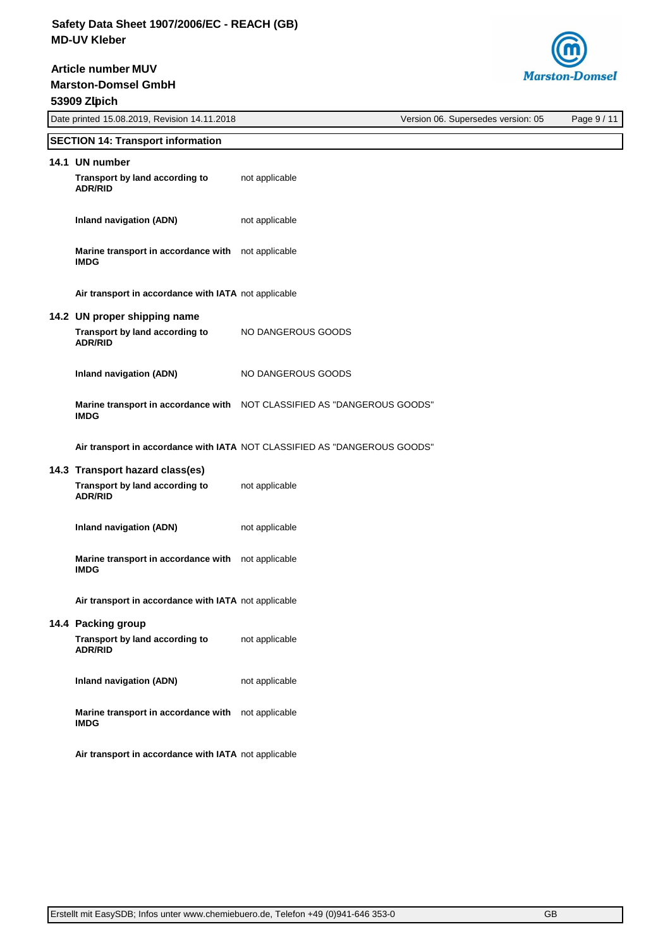**Article number MUV**

**Marston-Domsel GmbH**



| 53909 Zlipich |                                                      |                                                                           |                                    |             |  |  |
|---------------|------------------------------------------------------|---------------------------------------------------------------------------|------------------------------------|-------------|--|--|
|               | Date printed 15.08.2019, Revision 14.11.2018         |                                                                           | Version 06. Supersedes version: 05 | Page 9 / 11 |  |  |
|               | <b>SECTION 14: Transport information</b>             |                                                                           |                                    |             |  |  |
|               | 14.1 UN number                                       |                                                                           |                                    |             |  |  |
|               | Transport by land according to<br><b>ADR/RID</b>     | not applicable                                                            |                                    |             |  |  |
|               | <b>Inland navigation (ADN)</b>                       | not applicable                                                            |                                    |             |  |  |
|               | Marine transport in accordance with<br><b>IMDG</b>   | not applicable                                                            |                                    |             |  |  |
|               | Air transport in accordance with IATA not applicable |                                                                           |                                    |             |  |  |
|               | 14.2 UN proper shipping name                         |                                                                           |                                    |             |  |  |
|               | Transport by land according to<br><b>ADR/RID</b>     | NO DANGEROUS GOODS                                                        |                                    |             |  |  |
|               | <b>Inland navigation (ADN)</b>                       | NO DANGEROUS GOODS                                                        |                                    |             |  |  |
|               | <b>IMDG</b>                                          | Marine transport in accordance with NOT CLASSIFIED AS "DANGEROUS GOODS"   |                                    |             |  |  |
|               |                                                      | Air transport in accordance with IATA NOT CLASSIFIED AS "DANGEROUS GOODS" |                                    |             |  |  |
|               | 14.3 Transport hazard class(es)                      |                                                                           |                                    |             |  |  |
|               | Transport by land according to<br><b>ADR/RID</b>     | not applicable                                                            |                                    |             |  |  |
|               | <b>Inland navigation (ADN)</b>                       | not applicable                                                            |                                    |             |  |  |
|               | Marine transport in accordance with<br><b>IMDG</b>   | not applicable                                                            |                                    |             |  |  |
|               | Air transport in accordance with IATA not applicable |                                                                           |                                    |             |  |  |
|               | 14.4 Packing group                                   |                                                                           |                                    |             |  |  |
|               | Transport by land according to<br><b>ADR/RID</b>     | not applicable                                                            |                                    |             |  |  |
|               | <b>Inland navigation (ADN)</b>                       | not applicable                                                            |                                    |             |  |  |
|               | Marine transport in accordance with<br><b>IMDG</b>   | not applicable                                                            |                                    |             |  |  |
|               | Air transport in accordance with IATA not applicable |                                                                           |                                    |             |  |  |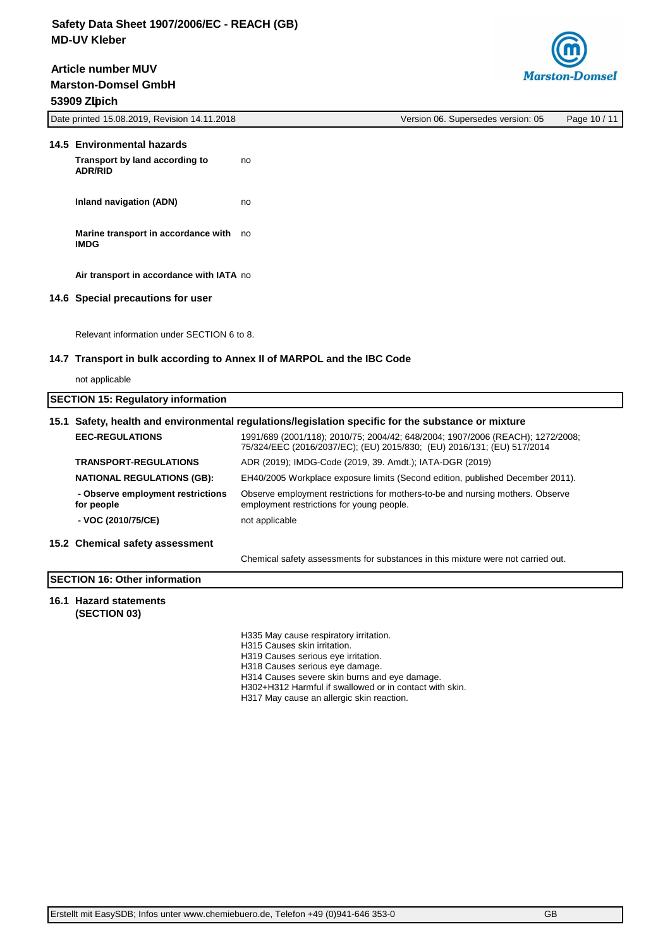**Marston-Domsel GmbH 53909 Zülpich Article number MUV**



| 53909 Zipich<br>Date printed 15.08.2019, Revision 14.11.2018                                                          | Version 06. Supersedes version: 05                                                                                                                       | Page 10 / 11 |  |  |  |
|-----------------------------------------------------------------------------------------------------------------------|----------------------------------------------------------------------------------------------------------------------------------------------------------|--------------|--|--|--|
|                                                                                                                       |                                                                                                                                                          |              |  |  |  |
| 14.5 Environmental hazards                                                                                            |                                                                                                                                                          |              |  |  |  |
| Transport by land according to<br><b>ADR/RID</b>                                                                      | no                                                                                                                                                       |              |  |  |  |
| <b>Inland navigation (ADN)</b>                                                                                        | no                                                                                                                                                       |              |  |  |  |
| Marine transport in accordance with no<br><b>IMDG</b>                                                                 |                                                                                                                                                          |              |  |  |  |
| Air transport in accordance with IATA no                                                                              |                                                                                                                                                          |              |  |  |  |
| 14.6 Special precautions for user                                                                                     |                                                                                                                                                          |              |  |  |  |
| Relevant information under SECTION 6 to 8.<br>14.7 Transport in bulk according to Annex II of MARPOL and the IBC Code |                                                                                                                                                          |              |  |  |  |
| not applicable                                                                                                        |                                                                                                                                                          |              |  |  |  |
| <b>SECTION 15: Regulatory information</b>                                                                             |                                                                                                                                                          |              |  |  |  |
|                                                                                                                       | 15.1 Safety, health and environmental regulations/legislation specific for the substance or mixture                                                      |              |  |  |  |
| <b>EEC-REGULATIONS</b>                                                                                                | 1991/689 (2001/118); 2010/75; 2004/42; 648/2004; 1907/2006 (REACH); 1272/2008;<br>75/324/EEC (2016/2037/EC); (EU) 2015/830; (EU) 2016/131; (EU) 517/2014 |              |  |  |  |
| <b>TRANSPORT-REGULATIONS</b>                                                                                          | ADR (2019); IMDG-Code (2019, 39. Amdt.); IATA-DGR (2019)                                                                                                 |              |  |  |  |
| <b>NATIONAL REGULATIONS (GB):</b>                                                                                     | EH40/2005 Workplace exposure limits (Second edition, published December 2011).                                                                           |              |  |  |  |
| - Observe employment restrictions<br>for people                                                                       | Observe employment restrictions for mothers-to-be and nursing mothers. Observe<br>employment restrictions for young people.                              |              |  |  |  |
| - VOC (2010/75/CE)                                                                                                    | not applicable                                                                                                                                           |              |  |  |  |
| 15.2 Chemical safety assessment                                                                                       |                                                                                                                                                          |              |  |  |  |
|                                                                                                                       | Chemical safety assessments for substances in this mixture were not carried out.                                                                         |              |  |  |  |
| <b>SECTION 16: Other information</b>                                                                                  |                                                                                                                                                          |              |  |  |  |
| 16.1 Hazard statements<br>(SECTION 03)                                                                                |                                                                                                                                                          |              |  |  |  |

H335 May cause respiratory irritation. H315 Causes skin irritation. H319 Causes serious eye irritation. H318 Causes serious eye damage. H314 Causes severe skin burns and eye damage. H302+H312 Harmful if swallowed or in contact with skin. H317 May cause an allergic skin reaction.